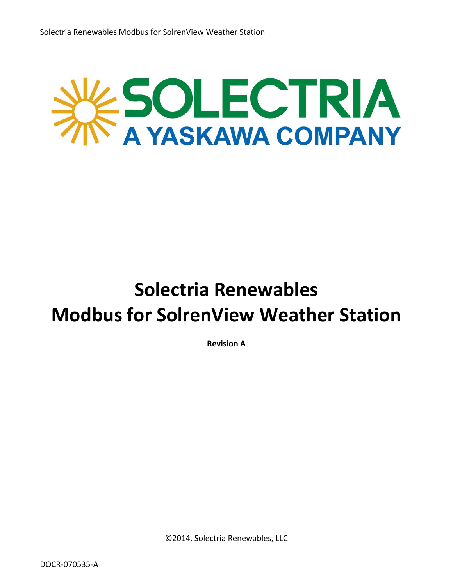

**Revision A**

©2014, Solectria Renewables, LLC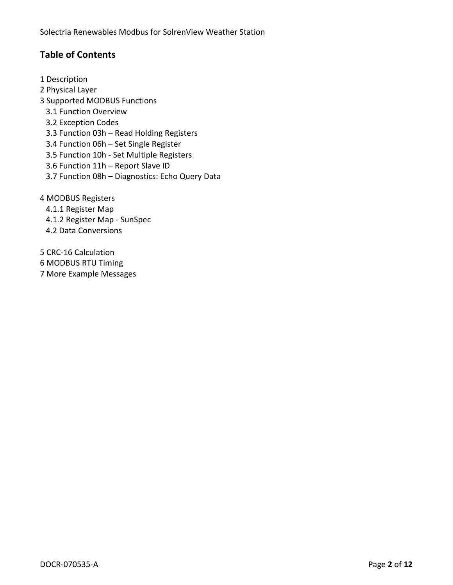## **Table of Contents**

- 1 Description 2 Physical Layer 3 Supported MODBUS Functions 3.1 Function Overview 3.2 Exception Codes 3.3 Function 03h – Read Holding Registers 3.4 Function 06h – Set Single Register 3.5 Function 10h ‐ Set Multiple Registers 3.6 Function 11h – Report Slave ID 3.7 Function 08h – Diagnostics: Echo Query Data 4 MODBUS Registers 4.1.1 Register Map 4.1.2 Register Map ‐ SunSpec
	- 4.2 Data Conversions

5 CRC‐16 Calculation 6 MODBUS RTU Timing 7 More Example Messages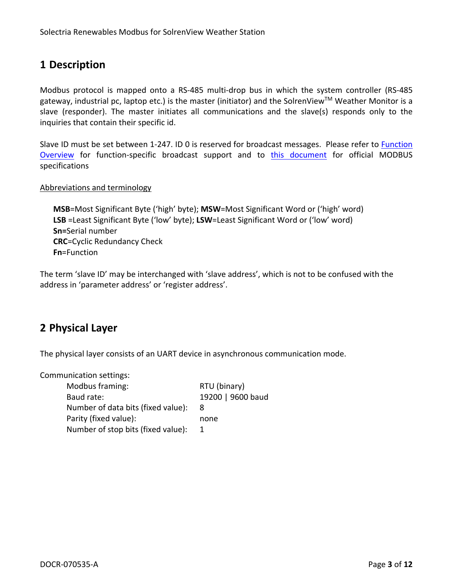# **1 Description**

Modbus protocol is mapped onto a RS‐485 multi‐drop bus in which the system controller (RS‐485 gateway, industrial pc, laptop etc.) is the master (initiator) and the SolrenView™ Weather Monitor is a slave (responder). The master initiates all communications and the slave(s) responds only to the inquiries that contain their specific id.

Slave ID must be set between 1-247. ID 0 is reserved for broadcast messages. Please refer to **Function** Overview for function‐specific broadcast support and to this document for official MODBUS specifications

#### Abbreviations and terminology

**MSB**=Most Significant Byte ('high' byte); **MSW**=Most Significant Word or ('high' word) **LSB** =Least Significant Byte ('low' byte); **LSW**=Least Significant Word or ('low' word) **Sn=**Serial number **CRC**=Cyclic Redundancy Check **Fn**=Function

The term 'slave ID' may be interchanged with 'slave address', which is not to be confused with the address in 'parameter address' or 'register address'.

## **2 Physical Layer**

The physical layer consists of an UART device in asynchronous communication mode.

Communication settings:

| Modbus framing:                    | RTU (binary)      |
|------------------------------------|-------------------|
| Baud rate:                         | 19200   9600 baud |
| Number of data bits (fixed value): | 8                 |
| Parity (fixed value):              | none              |
| Number of stop bits (fixed value): |                   |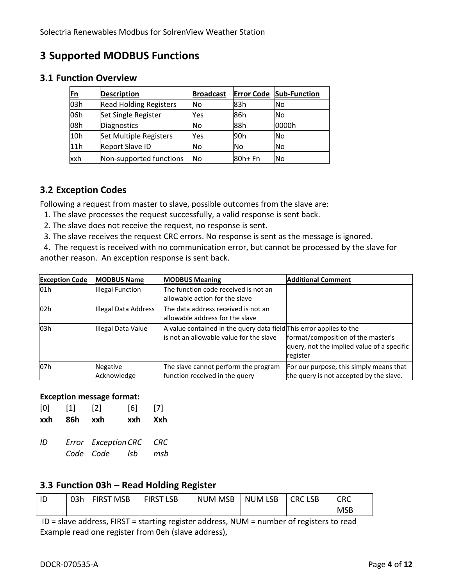# **3 Supported MODBUS Functions**

## **3.1 Function Overview**

| $\underline{\mathsf{En}}$ | <b>Description</b>            | <b>Broadcast</b> |           | <b>Error Code Sub-Function</b> |
|---------------------------|-------------------------------|------------------|-----------|--------------------------------|
| 03h                       | <b>Read Holding Registers</b> | <b>No</b>        | 83h       | lNo                            |
| 06h                       | Set Single Register           | Yes              | 86h       | lNo                            |
| 08h                       | Diagnostics                   | No               | 88h       | 0000h                          |
| 10h                       | Set Multiple Registers        | Yes              | 90h       | lNo                            |
| 11h                       | <b>Report Slave ID</b>        | <b>No</b>        | <b>No</b> | lNo                            |
| xxh                       | Non-supported functions       | <b>No</b>        | 80h+ Fn   | <b>No</b>                      |

#### **3.2 Exception Codes**

Following a request from master to slave, possible outcomes from the slave are:

- 1. The slave processes the request successfully, a valid response is sent back.
- 2. The slave does not receive the request, no response is sent.
- 3. The slave receives the request CRC errors. No response is sent as the message is ignored.

 4. The request is received with no communication error, but cannot be processed by the slave for another reason. An exception response is sent back.

| <b>Exception Code</b> | <b>MODBUS Name</b>   | <b>MODBUS Meaning</b>                                                                                          | <b>Additional Comment</b>                                                                    |
|-----------------------|----------------------|----------------------------------------------------------------------------------------------------------------|----------------------------------------------------------------------------------------------|
| 01h                   | Illegal Function     | The function code received is not an                                                                           |                                                                                              |
|                       |                      | lallowable action for the slave                                                                                |                                                                                              |
| 02h                   | Illegal Data Address | The data address received is not an<br>lallowable address for the slave                                        |                                                                                              |
| 03h                   | Illegal Data Value   | A value contained in the query data field This error applies to the<br>is not an allowable value for the slave | format/composition of the master's<br>query, not the implied value of a specific<br>register |
| 07h                   | Negative             | The slave cannot perform the program                                                                           | For our purpose, this simply means that                                                      |
|                       | Acknowledge          | function received in the query                                                                                 | the query is not accepted by the slave.                                                      |

#### **Exception message format:**

| xxh | 86h xxh |   | xxh | Xxh   |
|-----|---------|---|-----|-------|
| [0] | [1]     | 2 | [6] | $[7]$ |

*ID Error ExceptionCRC CRC Code Code lsb msb*

## **3.3 Function 03h – Read Holding Register**

| ID | 03h | <b>FIRST MSB</b> | <b>FIRST</b><br><b>LSB</b> | <b>NUM MSB</b> | <b>NUM LSB</b> | <b>CRC LSB</b> | CRC        |
|----|-----|------------------|----------------------------|----------------|----------------|----------------|------------|
|    |     |                  |                            |                |                |                | <b>MSB</b> |

ID = slave address, FIRST = starting register address, NUM = number of registers to read Example read one register from 0eh (slave address),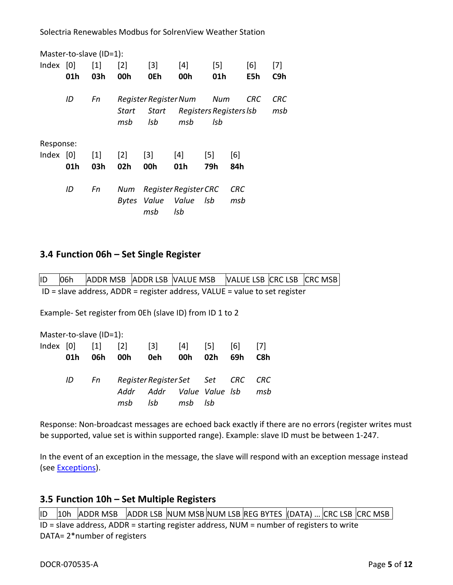|             | Master-to-slave (ID=1): |                   |                   |                       |                              |                   |     |            |     |
|-------------|-------------------------|-------------------|-------------------|-----------------------|------------------------------|-------------------|-----|------------|-----|
| Index $[0]$ |                         | $\lceil 1 \rceil$ | $\lceil 2 \rceil$ | $\lceil 3 \rceil$     | [4]                          | $\lceil 5 \rceil$ |     | [6]        | [7] |
|             | 01h                     | 03h               | 00h               | 0Eh                   | 00h                          | 01h               |     | E5h        | C9h |
|             | ID                      | Fn                |                   | Register Register Num |                              | Num               |     | <b>CRC</b> | CRC |
|             |                         |                   | Start             | Start                 | Registers Registers Isb      |                   |     |            | msb |
|             |                         |                   | msb               | Isb                   | msb                          | Isb               |     |            |     |
| Response:   |                         |                   |                   |                       |                              |                   |     |            |     |
| Index $[0]$ |                         | $\lceil 1 \rceil$ | $\lceil 2 \rceil$ | $[3]$                 | [4]                          | $\lceil 5 \rceil$ | [6] |            |     |
|             | 01h                     | 03h               | 02h               | 00h                   | 01h                          | 79h               | 84h |            |     |
|             | ID                      | Fn                | Num               |                       | Register Register CRC        |                   | CRC |            |     |
|             |                         |                   |                   | msb                   | Bytes Value Value Isb<br>Isb |                   | msb |            |     |

#### **3.4 Function 06h – Set Single Register**

ID 06h ADDR MSB ADDR LSB VALUE MSB VALUE LSB CRC LSB CRC MSB ID = slave address, ADDR = register address, VALUE = value to set register

Example‐ Set register from 0Eh (slave ID) from ID 1 to 2

Master‐to‐slave (ID=1):

| 01h | 06h | Index [0] [1] [2] [3] [4] [5] [6] [7]   | 00h 0eh 00h 02h                              |  | 69h | C8h |
|-----|-----|-----------------------------------------|----------------------------------------------|--|-----|-----|
|     |     | ID Fn Register Register Set Set CRC CRC |                                              |  |     |     |
|     |     | msb                                     | Addr Addr Value Value Isb msb<br>lsb msb Isb |  |     |     |

Response: Non-broadcast messages are echoed back exactly if there are no errors (register writes must be supported, value set is within supported range). Example: slave ID must be between 1‐247.

In the event of an exception in the message, the slave will respond with an exception message instead (see Exceptions).

#### **3.5 Function 10h – Set Multiple Registers**

|ID |10h |ADDR MSB |ADDR LSB |NUM MSB|NUM LSB|REG BYTES |(DATA) ... CRC LSB |CRC MSB | ID = slave address, ADDR = starting register address, NUM = number of registers to write DATA= 2\*number of registers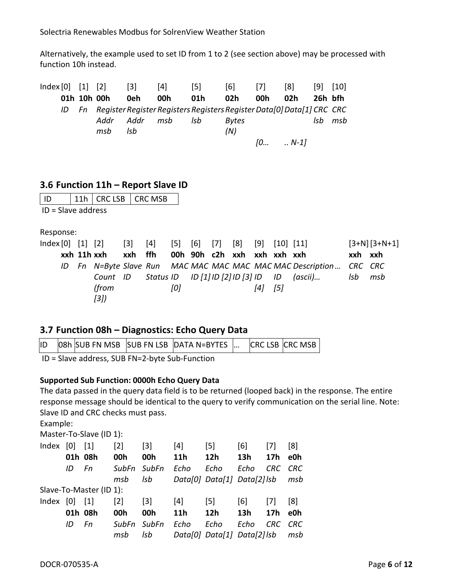Alternatively, the example used to set ID from 1 to 2 (see section above) may be processed with function 10h instead.

| Index[0] [1] [2] |  |             | $\lceil 3 \rceil$ | $\lceil 4 \rceil$                                                            | [5] | [6]          | $[7]$ | [8]          | $\lceil 9 \rceil$ | $\vert$ 10] |
|------------------|--|-------------|-------------------|------------------------------------------------------------------------------|-----|--------------|-------|--------------|-------------------|-------------|
|                  |  | 01h 10h 00h | 0eh               | 00h                                                                          | 01h | 02h          | 00h   | 02h          | 26h bfh           |             |
|                  |  |             |                   | ID Fn Register Register Registers Registers Register Data[0] Data[1] CRC CRC |     |              |       |              |                   |             |
|                  |  | Addr        | Addr              | msb                                                                          | Isb | <b>Bytes</b> |       |              | Isb               | msb         |
|                  |  | msb         | Isb               |                                                                              |     | (N)          |       |              |                   |             |
|                  |  |             |                   |                                                                              |     |              | [0]   | $\ldots N-1$ |                   |             |

## **3.6 Function 11h – Report Slave ID**

| l ID                 | $ 11h $ CRC LSB $ $ CRC MSB |  |
|----------------------|-----------------------------|--|
| $ID = Slave address$ |                             |  |

Response:

|  | $Index[0] [1] [2] [3] [4] [5] [6] [7] [8] [9] [10] [11]$ |                                     |     |  |             |                                                                                                 |         | $[3+N][3+N+1]$ |
|--|----------------------------------------------------------|-------------------------------------|-----|--|-------------|-------------------------------------------------------------------------------------------------|---------|----------------|
|  | xxh 11h xxh                                              | xxh ffh 00h 90h c2h xxh xxh xxh xxh |     |  |             |                                                                                                 | xxh xxh |                |
|  |                                                          |                                     |     |  |             | ID Fn N=Byte Slave Run MAC MAC MAC MAC MAC MAC Description CRC CRC                              |         |                |
|  |                                                          |                                     |     |  |             | Count ID Status ID ID $\lceil 1 \rceil$ ID $\lceil 2 \rceil$ ID $\lceil 3 \rceil$ ID ID (ascii) | lsb –   | msb            |
|  | (from                                                    |                                     | [0] |  | $[4]$ $[5]$ |                                                                                                 |         |                |
|  | 3 )                                                      |                                     |     |  |             |                                                                                                 |         |                |

## **3.7 Function 08h – Diagnostics: Echo Query Data**

|  |  | ID 08h SUB FN MSB SUB FN LSB DATA N=BYTES |  | <b>CRC LSB CRC MSB</b> |
|--|--|-------------------------------------------|--|------------------------|
|  |  |                                           |  |                        |

ID = Slave address, SUB FN=2‐byte Sub‐Function

#### **Supported Sub Function: 0000h Echo Query Data**

The data passed in the query data field is to be returned (looped back) in the response. The entire response message should be identical to the query to verify communication on the serial line. Note: Slave ID and CRC checks must pass.

Example:

Master‐To‐Slave (ID 1):

| Index       | 0       | $\lceil 1 \rceil$       | $\lceil 2 \rceil$ | $\lceil 3 \rceil$ | [4]               | $\lceil 5 \rceil$           | [6]  | $[7]$           | [8]        |
|-------------|---------|-------------------------|-------------------|-------------------|-------------------|-----------------------------|------|-----------------|------------|
|             | 01h 08h |                         | 00h               | 00h               | 11 <sub>h</sub>   | 12h                         | 13h  | 17 <sub>h</sub> | e0h        |
|             | ID      | Fn                      | SubFn SubFn       |                   | Echo              | Echo                        | Echo | CRC -           | <b>CRC</b> |
|             |         |                         | msb               | Isb               |                   | Data[0] Data[1] Data[2] Isb |      |                 | msb        |
|             |         | Slave-To-Master (ID 1): |                   |                   |                   |                             |      |                 |            |
| Index $[0]$ |         | $\lceil 1 \rceil$       | $\lceil 2 \rceil$ | $[3]$             | $\lceil 4 \rceil$ | $\lceil 5 \rceil$           | [6]  | $[7]$           | [8]        |
|             | 01h 08h |                         | 00h               | 00h               | 11 <sub>h</sub>   | 12 <sub>h</sub>             | 13h  | 17 <sub>h</sub> | e0h        |
|             | ID      | Fn                      | SubFn SubFn       |                   | Echo              | Echo                        | Echo | CRC             | <b>CRC</b> |
|             |         |                         | msb               | Isb               |                   | Data[0] Data[1] Data[2] Isb |      |                 | msb        |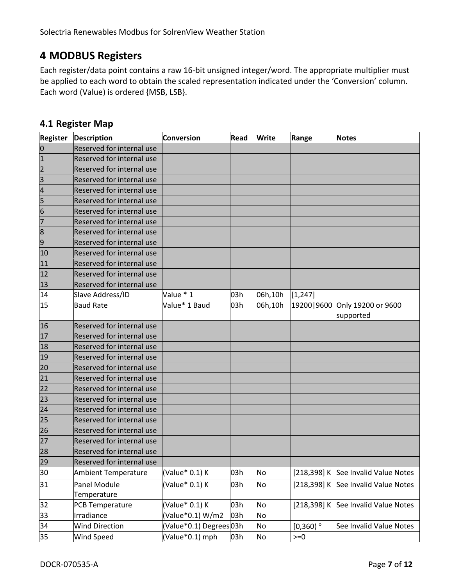# **MODBUS Registers**

Each register/data point contains a raw 16‐bit unsigned integer/word. The appropriate multiplier must be applied to each word to obtain the scaled representation indicated under the 'Conversion' column. Each word (Value) is ordered {MSB, LSB}.

## **4.1 Register Map**

| <b>Register</b> | <b>Description</b>               | <b>Conversion</b>      | Read | Write   | <b>Range</b>           | <b>Notes</b>            |
|-----------------|----------------------------------|------------------------|------|---------|------------------------|-------------------------|
| $\overline{0}$  | Reserved for internal use        |                        |      |         |                        |                         |
| $\mathbf{1}$    | Reserved for internal use        |                        |      |         |                        |                         |
| $\overline{2}$  | Reserved for internal use        |                        |      |         |                        |                         |
| $\overline{3}$  | Reserved for internal use        |                        |      |         |                        |                         |
| $\overline{a}$  | <b>Reserved for internal use</b> |                        |      |         |                        |                         |
| 5               | <b>Reserved for internal use</b> |                        |      |         |                        |                         |
| 6               | Reserved for internal use        |                        |      |         |                        |                         |
| $\overline{7}$  | Reserved for internal use        |                        |      |         |                        |                         |
| 8               | Reserved for internal use        |                        |      |         |                        |                         |
| 9               | Reserved for internal use        |                        |      |         |                        |                         |
| 10              | Reserved for internal use        |                        |      |         |                        |                         |
| 11              | Reserved for internal use        |                        |      |         |                        |                         |
| 12              | Reserved for internal use        |                        |      |         |                        |                         |
| 13              | Reserved for internal use        |                        |      |         |                        |                         |
| 14              | Slave Address/ID                 | Value * 1              | 03h  | 06h,10h | [1, 247]               |                         |
| 15              | <b>Baud Rate</b>                 | Value* 1 Baud          | 03h  | 06h,10h | 19200   9600           | Only 19200 or 9600      |
|                 |                                  |                        |      |         |                        | supported               |
| 16              | <b>Reserved for internal use</b> |                        |      |         |                        |                         |
| 17              | Reserved for internal use        |                        |      |         |                        |                         |
| 18              | Reserved for internal use        |                        |      |         |                        |                         |
| 19              | Reserved for internal use        |                        |      |         |                        |                         |
| 20              | Reserved for internal use        |                        |      |         |                        |                         |
| 21              | Reserved for internal use        |                        |      |         |                        |                         |
| 22              | <b>Reserved for internal use</b> |                        |      |         |                        |                         |
| 23              | Reserved for internal use        |                        |      |         |                        |                         |
| 24              | Reserved for internal use        |                        |      |         |                        |                         |
| 25              | Reserved for internal use        |                        |      |         |                        |                         |
| 26              | Reserved for internal use        |                        |      |         |                        |                         |
| 27              | Reserved for internal use        |                        |      |         |                        |                         |
| 28              | Reserved for internal use        |                        |      |         |                        |                         |
| 79              | Reserved for internal use        |                        |      |         |                        |                         |
| 30              | Ambient Temperature              | (Value* 0.1) K         | 03h  | No      | [218, 398] K           | See Invalid Value Notes |
| 31              | Panel Module                     | (Value* 0.1) K         | 03h  | No      | [218, 398] K           | See Invalid Value Notes |
|                 | Temperature                      |                        |      |         |                        |                         |
| 32              | PCB Temperature                  | (Value* 0.1) K         | 03h  | No      | [218, 398] K           | See Invalid Value Notes |
| 33              | Irradiance                       | (Value*0.1) W/m2       | 03h  | No      |                        |                         |
| 34              | <b>Wind Direction</b>            | (Value*0.1) Degrees03h |      | No      | $[0,360)$ <sup>o</sup> | See Invalid Value Notes |
| 35              | Wind Speed                       | (Value*0.1) mph        | 03h  | No      | $>=0$                  |                         |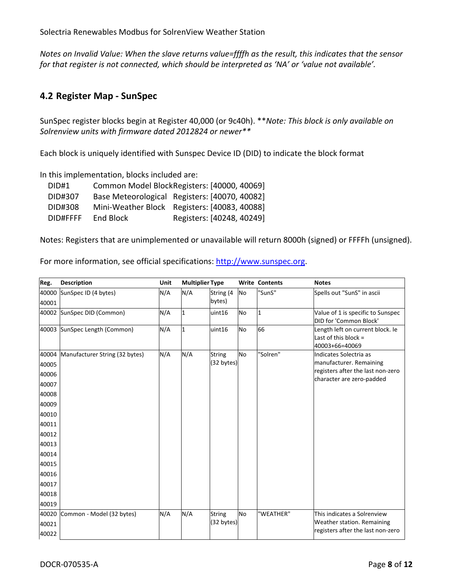*Notes on Invalid Value: When the slave returns value=ffffh as the result, this indicates that the sensor for that register is not connected, which should be interpreted as 'NA' or 'value not available'.* 

#### **4.2 Register Map ‐ SunSpec**

SunSpec register blocks begin at Register 40,000 (or 9c40h). \*\**Note: This block is only available on Solrenview units with firmware dated 2012824 or newer\*\**

Each block is uniquely identified with Sunspec Device ID (DID) to indicate the block format

In this implementation, blocks included are:

| DID#1    |           | Common Model BlockRegisters: [40000, 40069]   |
|----------|-----------|-----------------------------------------------|
| DID#307  |           | Base Meteorological Registers: [40070, 40082] |
| DID#308  |           | Mini-Weather Block Registers: [40083, 40088]  |
| DID#FFFF | End Block | Registers: [40248, 40249]                     |

Notes: Registers that are unimplemented or unavailable will return 8000h (signed) or FFFFh (unsigned).

For more information, see official specifications: http://www.sunspec.org.

| Reg.  | <b>Description</b>             | Unit | <b>Multiplier Type</b> |               |           | <b>Write Contents</b> | <b>Notes</b>                             |
|-------|--------------------------------|------|------------------------|---------------|-----------|-----------------------|------------------------------------------|
| 40000 | SunSpec ID (4 bytes)           | N/A  | N/A                    | String (4     | No        | "SunS"                | Spells out "SunS" in ascii               |
| 40001 |                                |      |                        | bytes)        |           |                       |                                          |
|       | 40002 SunSpec DID (Common)     | N/A  | 1                      | uint16        | <b>No</b> | 1                     | Value of 1 is specific to Sunspec        |
|       |                                |      |                        |               |           |                       | DID for 'Common Block'                   |
|       | 40003 SunSpec Length (Common)  | N/A  | $\mathbf{1}$           | uint16        | <b>No</b> | 66                    | Length left on current block. Ie         |
|       |                                |      |                        |               |           |                       | Last of this block $=$<br>40003+66=40069 |
| 40004 | Manufacturer String (32 bytes) | N/A  | N/A                    | <b>String</b> | <b>No</b> | "Solren"              | Indicates Solectria as                   |
| 40005 |                                |      |                        | (32 bytes)    |           |                       | manufacturer. Remaining                  |
| 40006 |                                |      |                        |               |           |                       | registers after the last non-zero        |
| 40007 |                                |      |                        |               |           |                       | character are zero-padded                |
| 40008 |                                |      |                        |               |           |                       |                                          |
| 40009 |                                |      |                        |               |           |                       |                                          |
| 40010 |                                |      |                        |               |           |                       |                                          |
| 40011 |                                |      |                        |               |           |                       |                                          |
| 40012 |                                |      |                        |               |           |                       |                                          |
| 40013 |                                |      |                        |               |           |                       |                                          |
| 40014 |                                |      |                        |               |           |                       |                                          |
| 40015 |                                |      |                        |               |           |                       |                                          |
| 40016 |                                |      |                        |               |           |                       |                                          |
| 40017 |                                |      |                        |               |           |                       |                                          |
| 40018 |                                |      |                        |               |           |                       |                                          |
| 40019 |                                |      |                        |               |           |                       |                                          |
| 40020 | Common - Model (32 bytes)      | N/A  | N/A                    | <b>String</b> | <b>No</b> | "WEATHER"             | This indicates a Solrenview              |
| 40021 |                                |      |                        | (32 bytes)    |           |                       | Weather station. Remaining               |
| 40022 |                                |      |                        |               |           |                       | registers after the last non-zero        |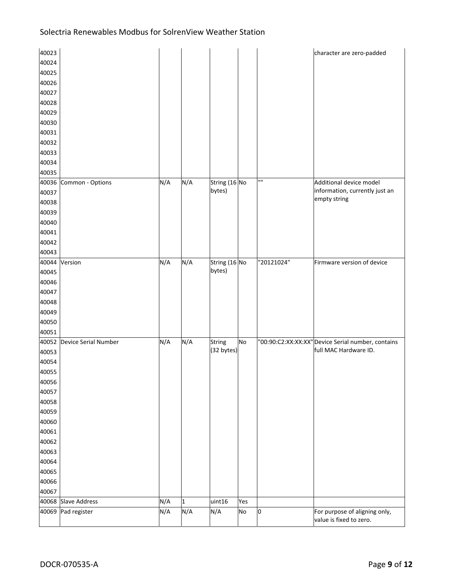| 40023 |                      |     |              |                             |     |            | character are zero-padded                                                  |
|-------|----------------------|-----|--------------|-----------------------------|-----|------------|----------------------------------------------------------------------------|
| 40024 |                      |     |              |                             |     |            |                                                                            |
| 40025 |                      |     |              |                             |     |            |                                                                            |
| 40026 |                      |     |              |                             |     |            |                                                                            |
| 40027 |                      |     |              |                             |     |            |                                                                            |
| 40028 |                      |     |              |                             |     |            |                                                                            |
| 40029 |                      |     |              |                             |     |            |                                                                            |
| 40030 |                      |     |              |                             |     |            |                                                                            |
| 40031 |                      |     |              |                             |     |            |                                                                            |
| 40032 |                      |     |              |                             |     |            |                                                                            |
| 40033 |                      |     |              |                             |     |            |                                                                            |
| 40034 |                      |     |              |                             |     |            |                                                                            |
| 40035 |                      |     |              |                             |     |            |                                                                            |
| 40036 | Common - Options     | N/A | N/A          | String (16 No               |     | mп         | Additional device model                                                    |
| 40037 |                      |     |              | bytes)                      |     |            | information, currently just an                                             |
| 40038 |                      |     |              |                             |     |            | empty string                                                               |
| 40039 |                      |     |              |                             |     |            |                                                                            |
| 40040 |                      |     |              |                             |     |            |                                                                            |
| 40041 |                      |     |              |                             |     |            |                                                                            |
| 40042 |                      |     |              |                             |     |            |                                                                            |
| 40043 |                      |     |              |                             |     |            |                                                                            |
| 40044 | Version              | N/A | N/A          | String (16 No               |     | "20121024" | Firmware version of device                                                 |
| 40045 |                      |     |              | bytes)                      |     |            |                                                                            |
| 40046 |                      |     |              |                             |     |            |                                                                            |
|       |                      |     |              |                             |     |            |                                                                            |
| 40047 |                      |     |              |                             |     |            |                                                                            |
| 40048 |                      |     |              |                             |     |            |                                                                            |
| 40049 |                      |     |              |                             |     |            |                                                                            |
| 40050 |                      |     |              |                             |     |            |                                                                            |
| 40051 |                      |     |              |                             |     |            |                                                                            |
| 40052 | Device Serial Number | N/A | N/A          | <b>String</b><br>(32 bytes) | No  |            | "00:90:C2:XX:XX:XX"Device Serial number, contains<br>full MAC Hardware ID. |
| 40053 |                      |     |              |                             |     |            |                                                                            |
| 40054 |                      |     |              |                             |     |            |                                                                            |
| 40055 |                      |     |              |                             |     |            |                                                                            |
| 40056 |                      |     |              |                             |     |            |                                                                            |
| 40057 |                      |     |              |                             |     |            |                                                                            |
| 40058 |                      |     |              |                             |     |            |                                                                            |
| 40059 |                      |     |              |                             |     |            |                                                                            |
| 40060 |                      |     |              |                             |     |            |                                                                            |
| 40061 |                      |     |              |                             |     |            |                                                                            |
| 40062 |                      |     |              |                             |     |            |                                                                            |
| 40063 |                      |     |              |                             |     |            |                                                                            |
| 40064 |                      |     |              |                             |     |            |                                                                            |
| 40065 |                      |     |              |                             |     |            |                                                                            |
| 40066 |                      |     |              |                             |     |            |                                                                            |
| 40067 |                      |     |              |                             |     |            |                                                                            |
|       | 40068 Slave Address  | N/A | $\mathbf{1}$ | uint16                      | Yes |            |                                                                            |
| 40069 | Pad register         | N/A | N/A          | N/A                         | No  | 0          | For purpose of aligning only,<br>value is fixed to zero.                   |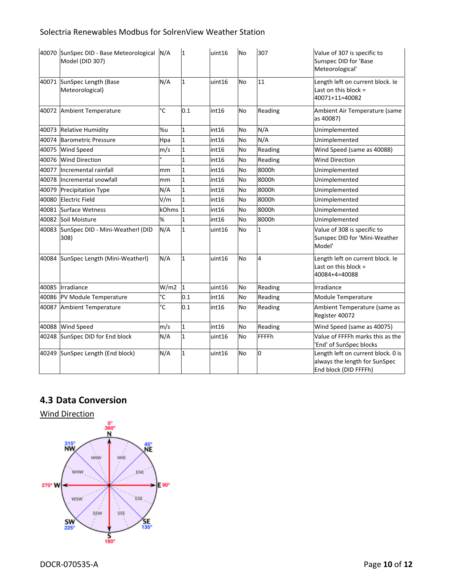|       | 40070 SunSpec DID - Base Meteorological N/A<br>Model (DID 307) |                | 1              | uint16 | <b>No</b> | 307          | Value of 307 is specific to<br>Sunspec DID for 'Base<br>Meteorological'                      |
|-------|----------------------------------------------------------------|----------------|----------------|--------|-----------|--------------|----------------------------------------------------------------------------------------------|
|       | 40071 SunSpec Length (Base<br>Meteorological)                  | N/A            | $\overline{1}$ | uint16 | <b>No</b> | 11           | Length left on current block. Ie<br>Last on this block $=$<br>40071+11=40082                 |
|       | 40072 Ambient Temperature                                      | °C             | 0.1            | int16  | <b>No</b> | Reading      | Ambient Air Temperature (same<br>as 40087)                                                   |
|       | 40073 Relative Humidity                                        | %u             | $\mathbf{1}$   | int16  | No        | N/A          | Unimplemented                                                                                |
| 40074 | <b>Barometric Pressure</b>                                     | Hpa            | $\mathbf{1}$   | int16  | No        | N/A          | Unimplemented                                                                                |
| 40075 | <b>Wind Speed</b>                                              | m/s            | $\mathbf{1}$   | int16  | <b>No</b> | Reading      | Wind Speed (same as 40088)                                                                   |
| 40076 | <b>Wind Direction</b>                                          |                | $\mathbf{1}$   | int16  | <b>No</b> | Reading      | <b>Wind Direction</b>                                                                        |
| 40077 | Incremental rainfall                                           | mm             | $\mathbf 1$    | int16  | <b>No</b> | 8000h        | Unimplemented                                                                                |
| 40078 | Incremental snowfall                                           | mm             | $\mathbf{1}$   | int16  | No        | 8000h        | Unimplemented                                                                                |
| 40079 | <b>Precipitation Type</b>                                      | N/A            | $\mathbf{1}$   | int16  | No        | 8000h        | Unimplemented                                                                                |
| 40080 | <b>Electric Field</b>                                          | V/m            | $\mathbf{1}$   | int16  | <b>No</b> | 8000h        | Unimplemented                                                                                |
| 40081 | Surface Wetness                                                | kOhms 1        |                | int16  | No        | 8000h        | Unimplemented                                                                                |
| 40082 | Soil Moisture                                                  | %              | 1              | int16  | <b>No</b> | 8000h        | Unimplemented                                                                                |
|       | 40083 SunSpec DID - Mini-Weatherl (DID<br>308)                 | N/A            | $\mathbf{1}$   | uint16 | <b>No</b> | $\mathbf{1}$ | Value of 308 is specific to<br>Sunspec DID for 'Mini-Weather<br>Model'                       |
| 40084 | SunSpec Length (Mini-Weatherl)                                 | N/A            | $\mathbf{1}$   | uint16 | <b>No</b> | 4            | Length left on current block. Ie<br>Last on this block $=$<br>40084+4=40088                  |
|       | 40085 Irradiance                                               | W/m2           | $\vert$ 1      | uint16 | <b>No</b> | Reading      | Irradiance                                                                                   |
| 40086 | PV Module Temperature                                          | °C             | 0.1            | int16  | <b>No</b> | Reading      | Module Temperature                                                                           |
| 40087 | Ambient Temperature                                            | $\overline{c}$ | 0.1            | int16  | <b>No</b> | Reading      | Ambient Temperature (same as<br>Register 40072                                               |
| 40088 | Wind Speed                                                     | m/s            | $\mathbf{1}$   | int16  | <b>No</b> | Reading      | Wind Speed (same as 40075)                                                                   |
| 40248 | SunSpec DID for End block                                      | N/A            | 1              | uint16 | No        | <b>FFFFh</b> | Value of FFFFh marks this as the<br>End' of SunSpec blocks                                   |
| 40249 | SunSpec Length (End block)                                     | N/A            | $\mathbf{1}$   | uint16 | <b>No</b> | 0            | Length left on current block. 0 is<br>always the length for SunSpec<br>End block (DID FFFFh) |

## **4.3 Data Conversion**

Wind Direction

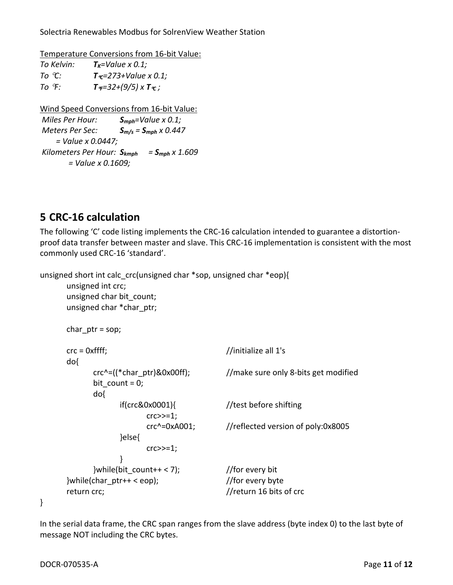Temperature Conversions from 16‐bit Value:

| To Kelvin:         | $T_K$ =Value x 0.1;                                     |
|--------------------|---------------------------------------------------------|
| To °C:             | $T_{\Upsilon} = 273 + \text{Value} \times 0.1$ ;        |
| To $\mathcal{F}$ : | $T_{\mathcal{F}} = 32 + (9/5) \times T_{\mathcal{C}}$ ; |

Wind Speed Conversions from 16‐bit Value:

```
Miles Per Hour:   Smph=Value x 0.1;
Meters Per Sec: Sm/s = Smph x 0.447
            = Value x 0.0447;
Kilometers Per Hour: Skmph = Smph x 1.609
                 = Value x 0.1609;
```
# **5 CRC‐16 calculation**

The following 'C' code listing implements the CRC-16 calculation intended to guarantee a distortionproof data transfer between master and slave. This CRC‐16 implementation is consistent with the most commonly used CRC‐16 'standard'.

unsigned short int calc\_crc(unsigned char \*sop, unsigned char \*eop){

```
unsigned int crc;
      unsigned char bit_count;
      unsigned char *char_ptr;
      char ptr = sop;crc = 0xffff;         //initialize all 1's
      do{
            crc^2 = ((*charptr)&0x00ff); //make sure only 8-bits get modified
             bit count = 0;
                 do{
                       if(crc&0x0001){    //test before shifting
                          crc \gg=1;
                               crc^=0xA001;    //reflected version of poly:0x8005
                       }else{
                          crc \gg=1;    }
            }while(bit_count++ < 7); // for every bit
      \{subscriptstyle} while(char_ptr++ < eop); \frac{1}{\sqrt{2}} //for every byte
      return crc; //return 16 bits of crc
```
In the serial data frame, the CRC span ranges from the slave address (byte index 0) to the last byte of message NOT including the CRC bytes.

}